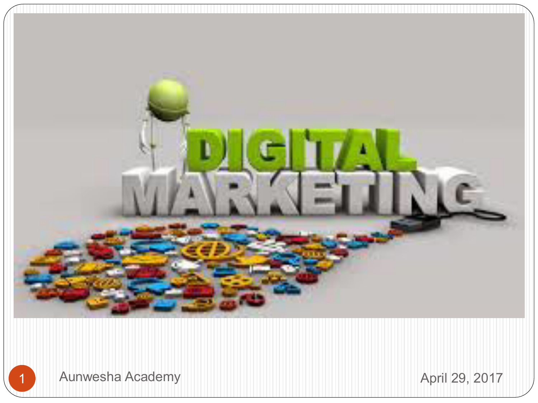

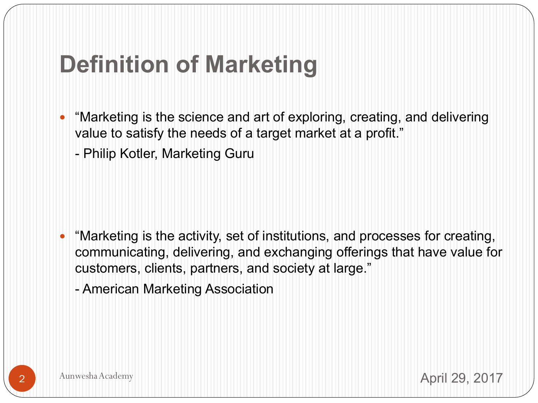#### **Definition of Marketing**

- "Marketing is the science and art of exploring, creating, and delivering value to satisfy the needs of a target market at a profit."
	- Philip Kotler, Marketing Guru

 "Marketing is the activity, set of institutions, and processes for creating, communicating, delivering, and exchanging offerings that have value for customers, clients, partners, and society at large."

- American Marketing Association

Aunwesha Academy 29, 2017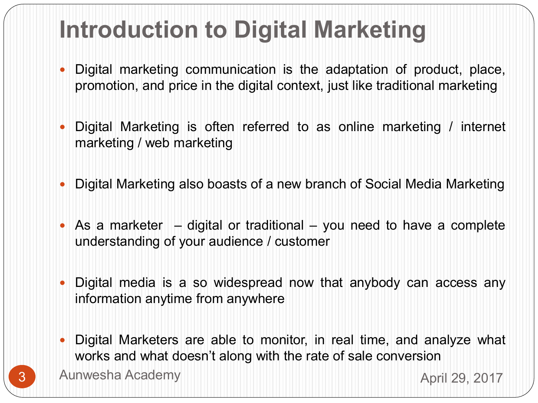# **Introduction to Digital Marketing**

- Digital marketing communication is the adaptation of product, place, promotion, and price in the digital context, just like traditional marketing
- Digital Marketing is often referred to as online marketing / internet marketing / web marketing
- Digital Marketing also boasts of a new branch of Social Media Marketing
- As a marketer digital or traditional you need to have a complete understanding of your audience / customer
- Digital media is a so widespread now that anybody can access any information anytime from anywhere
- Digital Marketers are able to monitor, in real time, and analyze what works and what doesn't along with the rate of sale conversion
- 3 Aunwesha Academy **Aunwesha Academy April 29, 2017**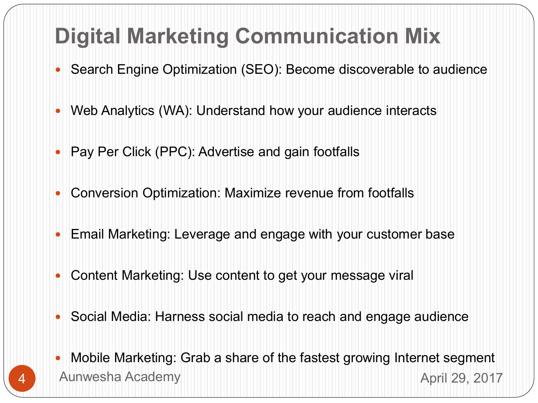#### **Digital Marketing Communication Mix**

- Search Engine Optimization (SEO): Become discoverable to audience
- Web Analytics (WA): Understand how your audience interacts
- Pay Per Click (PPC): Advertise and gain footfalls
- Conversion Optimization: Maximize revenue from footfalls
- Email Marketing: Leverage and engage with your customer base
- Content Marketing: Use content to get your message viral
- Social Media: Harness social media to reach and engage audience
- Mobile Marketing: Grab a share of the fastest growing Internet segment Aunwesha Academy **Aunwesha Academy Aunwesha Academy April 29, 2017**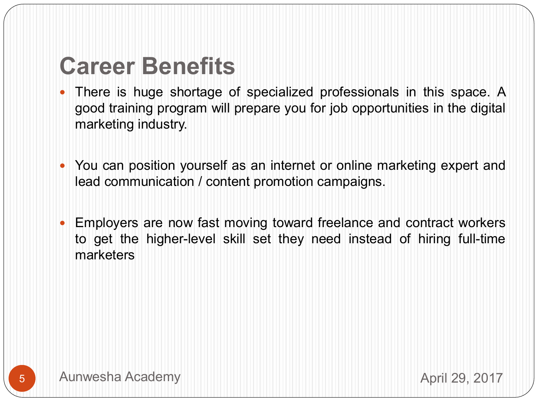### **Career Benefits**

- There is huge shortage of specialized professionals in this space. A good training program will prepare you for job opportunities in the digital marketing industry.
- You can position yourself as an internet or online marketing expert and lead communication / content promotion campaigns.
- Employers are now fast moving toward freelance and contract workers to get the higher-level skill set they need instead of hiring full-time marketers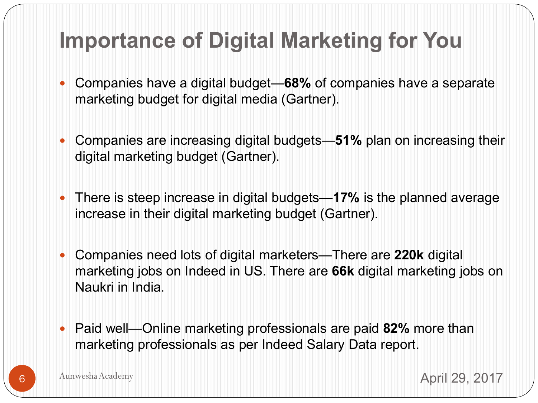#### **Importance of Digital Marketing for You**

- Companies have a digital budget—**68%** of companies have a separate marketing budget for digital media (Gartner).
- Companies are increasing digital budgets—**51%** plan on increasing their digital marketing budget (Gartner).
- There is steep increase in digital budgets—**17%** is the planned average increase in their digital marketing budget (Gartner).
- Companies need lots of digital marketers—There are **220k** digital marketing jobs on Indeed in US. There are **66k** digital marketing jobs on Naukri in India.
- Paid well—Online marketing professionals are paid **82%** more than marketing professionals as per Indeed Salary Data report.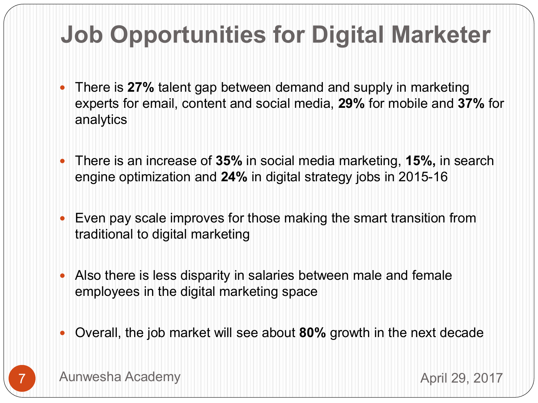# **Job Opportunities for Digital Marketer**

- There is **27%** talent gap between demand and supply in marketing experts for email, content and social media, **29%** for mobile and **37%** for analytics
- There is an increase of **35%** in social media marketing, **15%,** in search engine optimization and **24%** in digital strategy jobs in 2015-16
- Even pay scale improves for those making the smart transition from traditional to digital marketing
- Also there is less disparity in salaries between male and female employees in the digital marketing space
- Overall, the job market will see about **80%** growth in the next decade

7 Aunwesha Academy April 29, 2017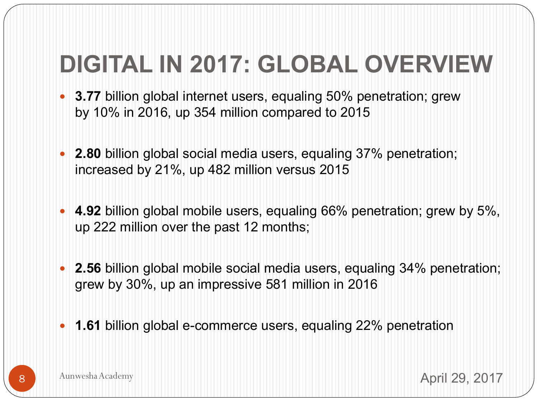## **DIGITAL IN 2017: GLOBAL OVERVIEW**

- **3.77** billion global internet users, equaling 50% penetration; grew by 10% in 2016, up 354 million compared to 2015
- **2.80** billion global social media users, equaling 37% penetration; increased by 21%, up 482 million versus 2015
- **4.92** billion global mobile users, equaling 66% penetration; grew by 5%, up 222 million over the past 12 months;
- **2.56** billion global mobile social media users, equaling 34% penetration; grew by 30%, up an impressive 581 million in 2016
- **1.61** billion global e-commerce users, equaling 22% penetration



8 Aunwesha Academy **8 Aunwesha Academy April 29, 2017**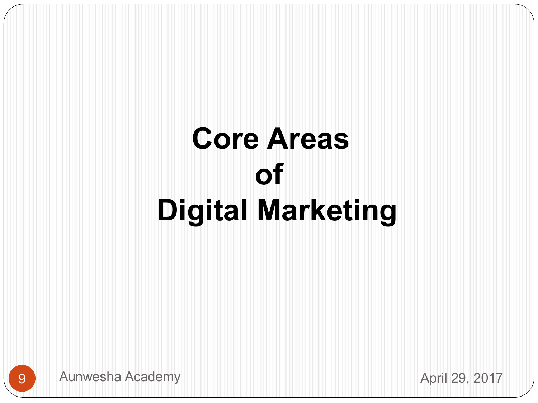# **Core Areas of Digital Marketing**

9 Aunwesha Academy **Aunwesha Academy April 29, 2017**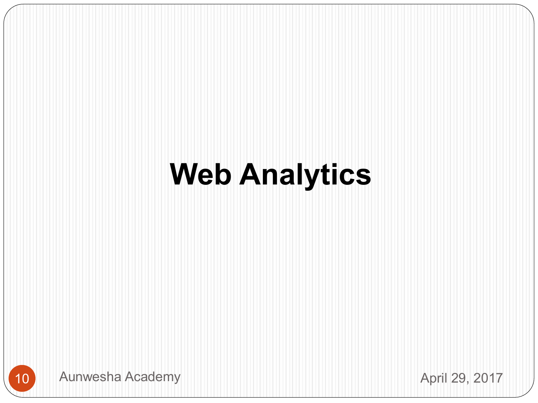# **Web Analytics**

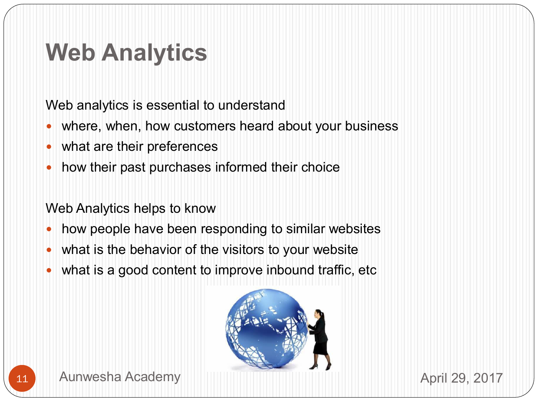### **Web Analytics**

Web analytics is essential to understand

- where, when, how customers heard about your business
- what are their preferences
- how their past purchases informed their choice

Web Analytics helps to know

- how people have been responding to similar websites
- what is the behavior of the visitors to your website
- what is a good content to improve inbound traffic, etc.



11 Aunwesha Academy **Auncesha Academy** April 29, 2017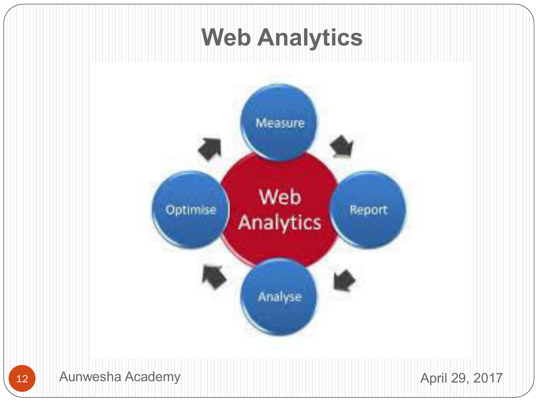### **Web Analytics**

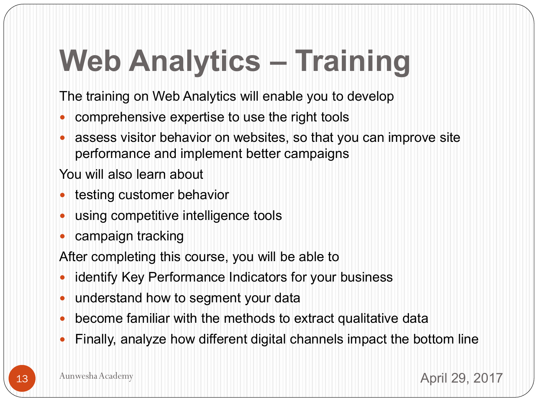# **Web Analytics – Training**

The training on Web Analytics will enable you to develop

- comprehensive expertise to use the right tools
- assess visitor behavior on websites, so that you can improve site performance and implement better campaigns

You will also learn about

- testing customer behavior
- using competitive intelligence tools
- campaign tracking

After completing this course, you will be able to

- identify Key Performance Indicators for your business
- understand how to segment your data
- become familiar with the methods to extract qualitative data
- Finally, analyze how different digital channels impact the bottom line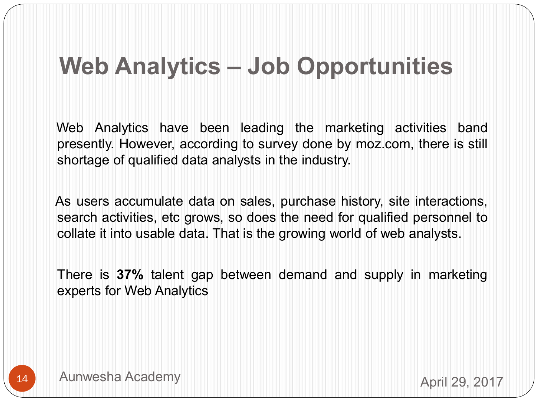### **Web Analytics – Job Opportunities**

Web Analytics have been leading the marketing activities band presently. However, according to survey done by moz.com, there is still shortage of qualified data analysts in the industry.

 As users accumulate data on sales, purchase history, site interactions, search activities, etc grows, so does the need for qualified personnel to collate it into usable data. That is the growing world of web analysts.

 There is **37%** talent gap between demand and supply in marketing experts for Web Analytics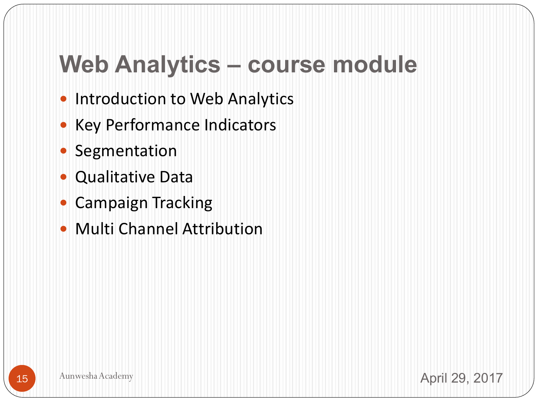### **Web Analytics – course module**

- Introduction to Web Analytics
- Key Performance Indicators
- Segmentation
- Qualitative Data
- Campaign Tracking
- Multi Channel Attribution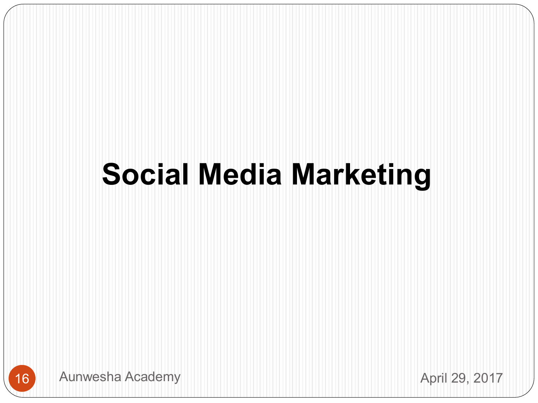# **Social Media Marketing**

16 Aunwesha Academy **Aunwesha Academy April 29, 2017**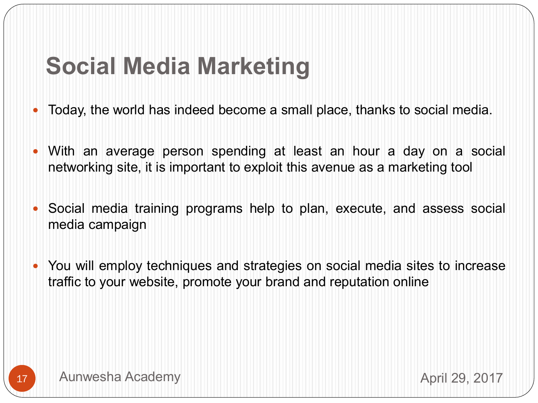## **Social Media Marketing**

- Today, the world has indeed become a small place, thanks to social media.
- With an average person spending at least an hour a day on a social networking site, it is important to exploit this avenue as a marketing tool
- Social media training programs help to plan, execute, and assess social media campaign
- You will employ techniques and strategies on social media sites to increase traffic to your website, promote your brand and reputation online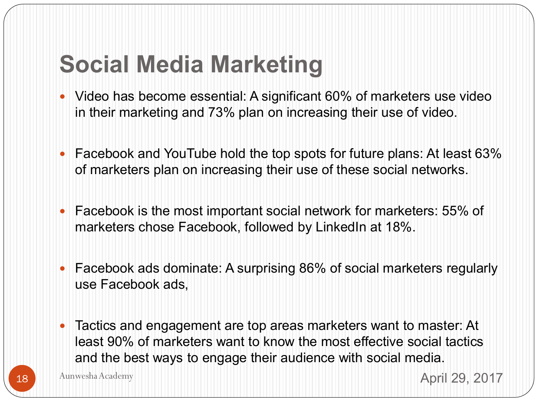### **Social Media Marketing**

- Video has become essential: A significant 60% of marketers use video in their marketing and 73% plan on increasing their use of video.
- Facebook and YouTube hold the top spots for future plans: At least 63% of marketers plan on increasing their use of these social networks.
- Facebook is the most important social network for marketers: 55% of marketers chose Facebook, followed by LinkedIn at 18%.
- Facebook ads dominate: A surprising 86% of social marketers regularly use Facebook ads,
- Tactics and engagement are top areas marketers want to master: At least 90% of marketers want to know the most effective social tactics and the best ways to engage their audience with social media.

18 Aunwesha Academy 29, 2017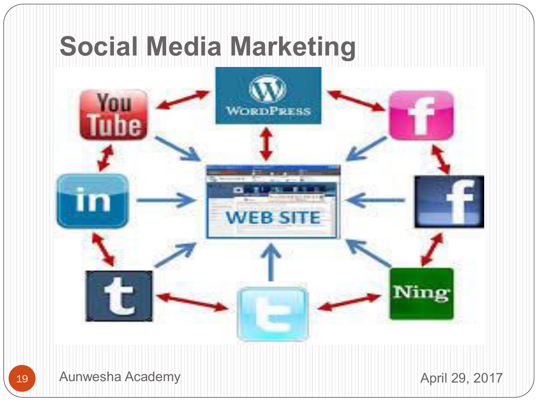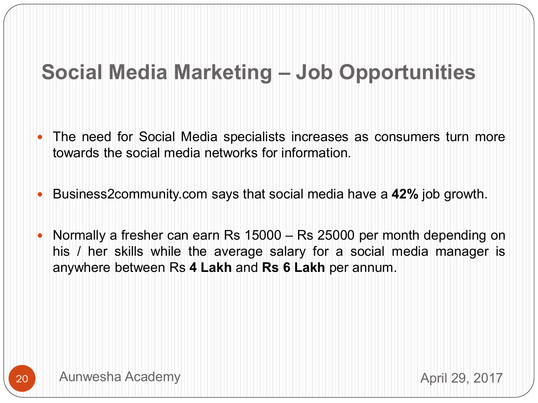#### **Social Media Marketing – Job Opportunities**

- The need for Social Media specialists increases as consumers turn more towards the social media networks for information.
- Business2community.com says that social media have a **42%** job growth.
- Normally a fresher can earn Rs 15000 Rs 25000 per month depending on his / her skills while the average salary for a social media manager is anywhere between Rs **4 Lakh** and **Rs 6 Lakh** per annum.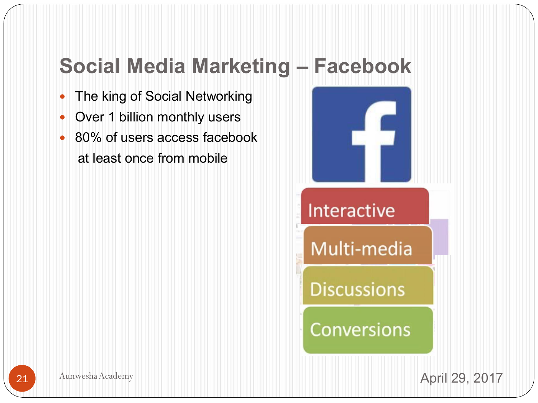#### **Social Media Marketing – Facebook**

- The king of Social Networking
- Over 1 billion monthly users
- 80% of users access facebook at least once from mobile



21 Aunwesha Academy 21 Aunwesha Academy 21 April 29, 2017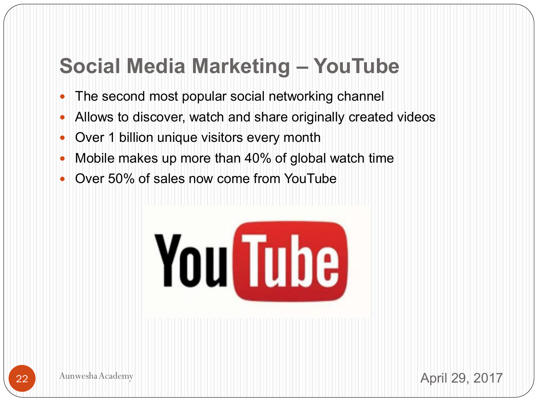#### **Social Media Marketing – YouTube**

- The second most popular social networking channel
- Allows to discover, watch and share originally created videos
- Over 1 billion unique visitors every month
- Mobile makes up more than 40% of global watch time
- Over 50% of sales now come from YouTube



aunwesha Academy 22 Aunwesha Academy 22 April 29, 2017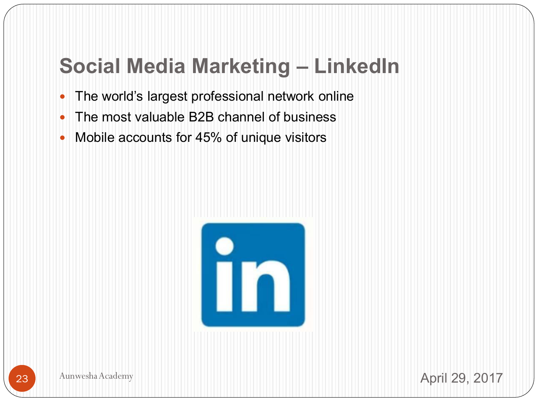#### **Social Media Marketing – LinkedIn**

- The world's largest professional network online
- The most valuable B2B channel of business
- Mobile accounts for 45% of unique visitors





Aunwesha Academy 23 Aunwesha Academy 23 April 29, 2017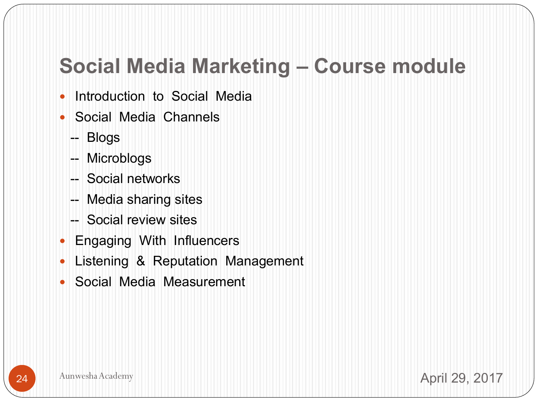#### **Social Media Marketing – Course module**

- Introduction to Social Media
- Social Media Channels
	- -- Blogs
	- -- Microblogs
	- -- Social networks
	- -- Media sharing sites
	- -- Social review sites
- Engaging With Influencers
- Listening & Reputation Management
- Social Media Measurement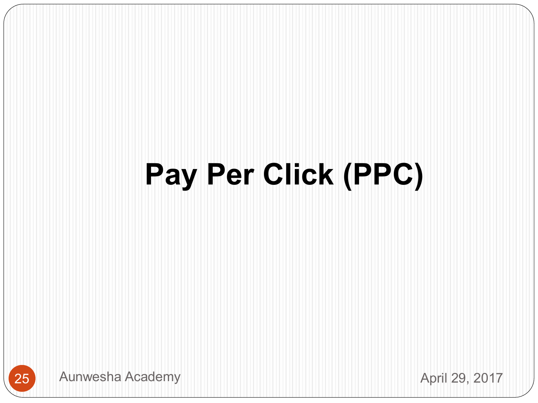# **Pay Per Click (PPC)**

25 Aunwesha Academy **Aunwesha Academy April 29, 2017**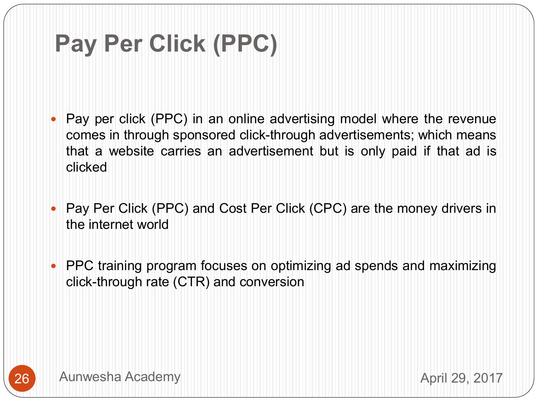# **Pay Per Click (PPC)**

- Pay per click (PPC) in an online advertising model where the revenue comes in through sponsored click-through advertisements; which means that a website carries an advertisement but is only paid if that ad is clicked
- Pay Per Click (PPC) and Cost Per Click (CPC) are the money drivers in the internet world
- PPC training program focuses on optimizing ad spends and maximizing click-through rate (CTR) and conversion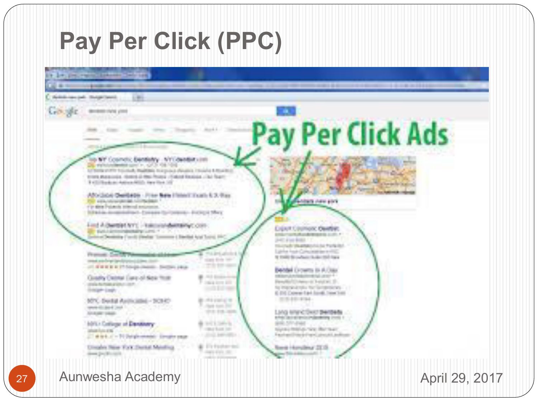### **Pay Per Click (PPC)**

14 (14) reginal histories that the

Heleda care and . Hospital and  $-40.4$ 

**Croope** demands that plant

> in NY Cosmolic Bentlety - NYCOLOGIE LIST a exhibition and r. GCS 106-109 LC BOSE ET RT TOLITUR, PARTING THE SHALL PANIELE TO GALE & REALTED THE BASIC AGENT BOOK IS THE THE REAL FINITE I will be a construct with the time of the

Africade Geridade - Fran Bate Historic Foats & S. Bas. side recognized recognized r'y sins Patents mining anyones. Station investments (presents/present) - Excluye May

**List A Derest NYL - Editoral Berger Colo-Edition Company Les 4 C.X.** ing Denking Cordi Dealer Toronton Liberald And Toront 144

to and advoked. Promoti Con DV Palemendado d tend and he's land/out-to-talling start of FEED ET TO GENERAL SHOPLING.

Guarty Cleanal Care of New York charge the major and the collection Dolph Leph

MYC Derkal Avenuaded - SCRID sees disped just function of the STAGE VALUE

60% College of Danisony istuarium and 27 Winds, all to 74 Daily December 1 Electric states

Unsales New York Denkel Melalling. deed (in World).

sings their late." **TRIP OF** ALL ASSAULT track from \$15.

**House** A.

THE CONTROL OF THE **Park Ford Dist** (FIS EXCHA)

**AND RESIDENCE** marked let-**ENGLAND HELM** 

> Elle Resolution And many state, care.

# **Pay Per Click Ads**

**Allan Asu son** 

LIGHT COUNSIL DIMINI ENGINEERIA ALANEMAKSI LUOLI F Joer a sea dealer TRAINEY WARRANTA DA TUNISIO. Lighter Augh Composition writing If You'll do not have the day that I have

**Bendel Crowrs In A/Day** TROUGHLAUSE ENGINEERING Dansfeld Chinese in Testal and Dto interactive for enterprisons. . . . E EIG Crowns East Auroli, Tread Seco THE RESIDENCE.

Ling enricowo benbelle a free and produced and the set of policitination siyosiy manayi naso dan naan, Equivalibility in Papel Library EL Andrew

Rowski Humphing 2215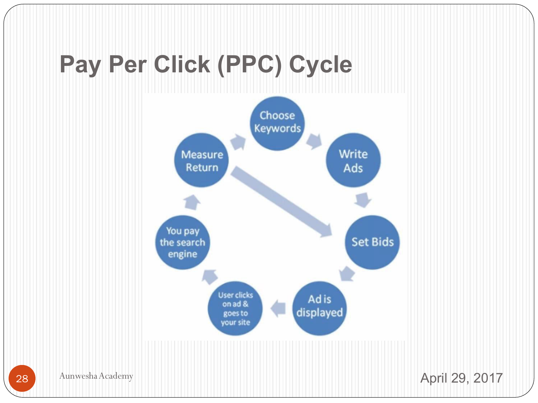# **Pay Per Click (PPC) Cycle**



28 Aunwesha Academy 28 Aunwesha Academy 29, 2017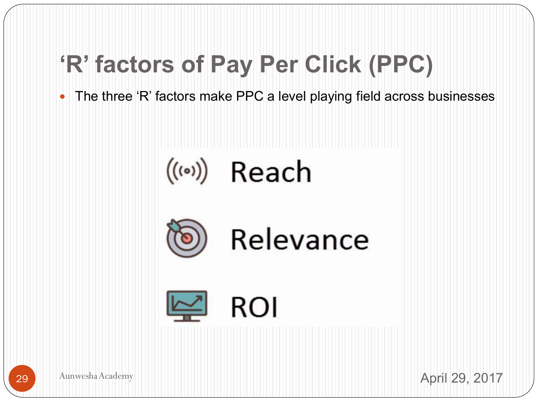# **'R' factors of Pay Per Click (PPC)**

The three 'R' factors make PPC a level playing field across businesses

# $((\bullet))$  Reach



# Relevance





Aunwesha Academy **29 Aunwesha Academy** 29, 2017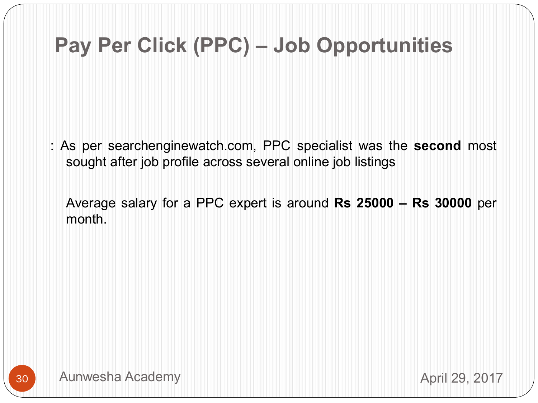#### **Pay Per Click (PPC) – Job Opportunities**

: As per searchenginewatch.com, PPC specialist was the **second** most sought after job profile across several online job listings

 Average salary for a PPC expert is around **Rs 25000 – Rs 30000** per month.

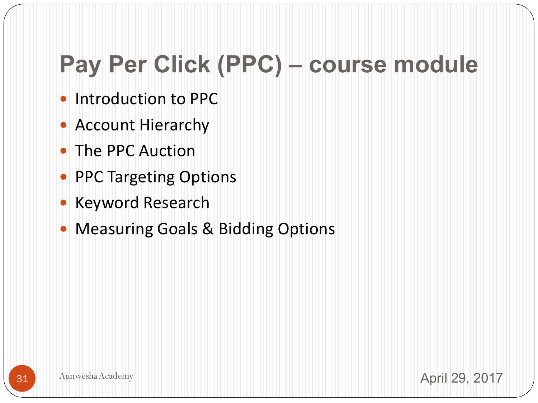# **Pay Per Click (PPC) – course module**

- Introduction to PPC
- Account Hierarchy
- The PPC Auction
- PPC Targeting Options
- Keyword Research
- Measuring Goals & Bidding Options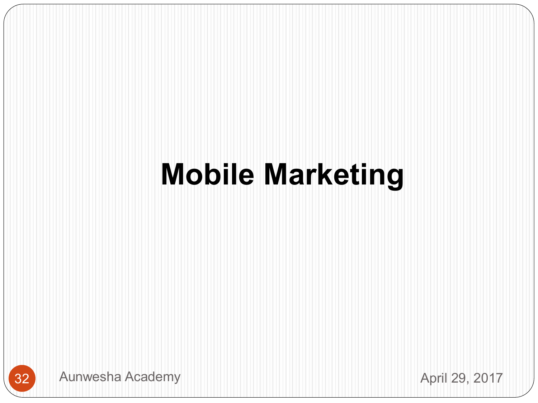# **Mobile Marketing**

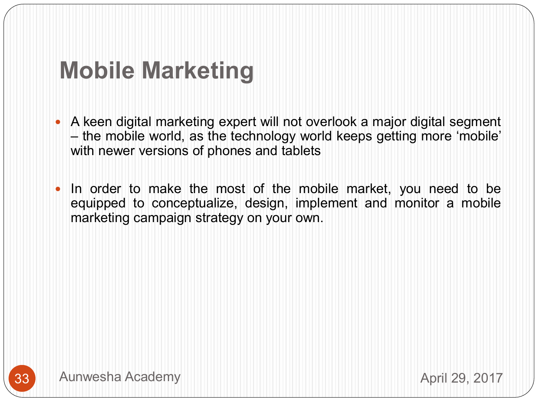#### **Mobile Marketing**

- A keen digital marketing expert will not overlook a major digital segment – the mobile world, as the technology world keeps getting more 'mobile' with newer versions of phones and tablets
- In order to make the most of the mobile market, you need to be equipped to conceptualize, design, implement and monitor a mobile marketing campaign strategy on your own.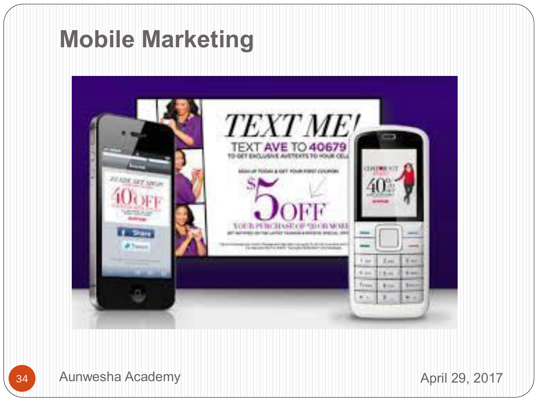#### **Mobile Marketing**



34 Aunwesha Academy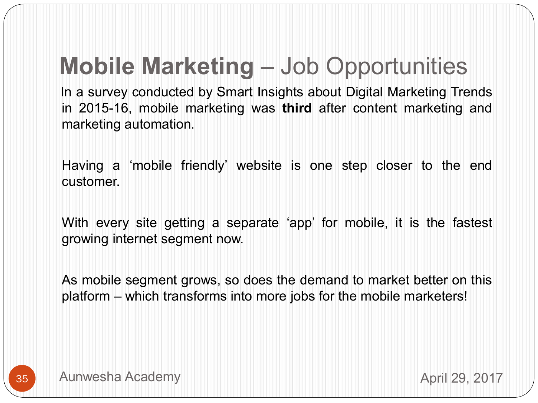## **Mobile Marketing** – Job Opportunities

 In a survey conducted by Smart Insights about Digital Marketing Trends in 2015-16, mobile marketing was **third** after content marketing and marketing automation.

 Having a 'mobile friendly' website is one step closer to the end customer.

 With every site getting a separate 'app' for mobile, it is the fastest growing internet segment now.

As mobile segment grows, so does the demand to market better on this platform – which transforms into more jobs for the mobile marketers!